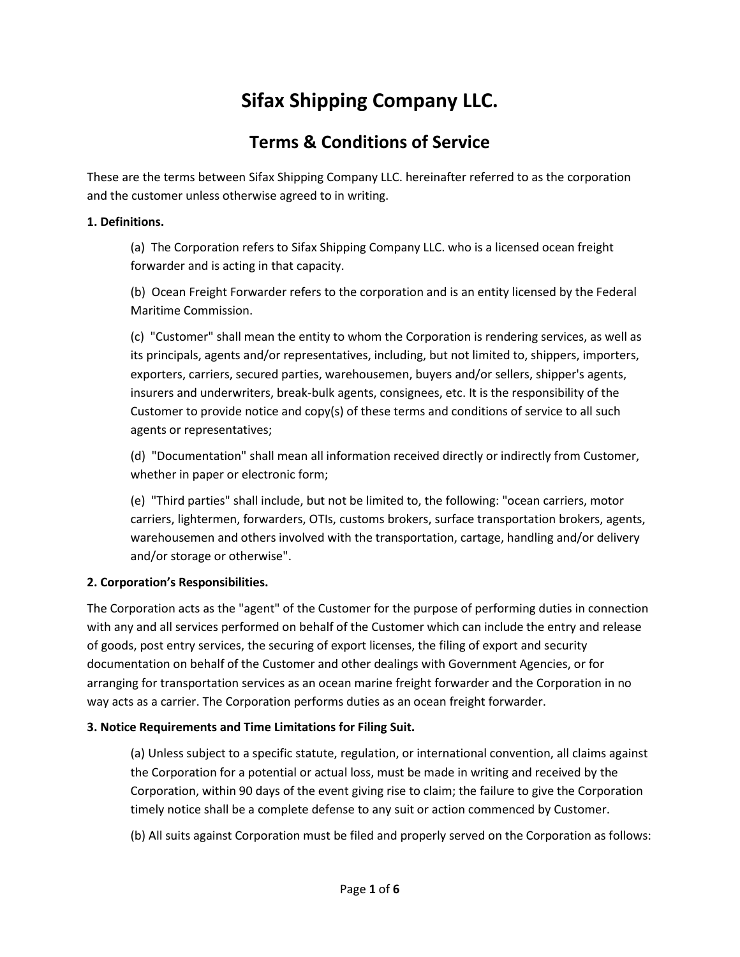# **Sifax Shipping Company LLC.**

## **Terms & Conditions of Service**

These are the terms between Sifax Shipping Company LLC. hereinafter referred to as the corporation and the customer unless otherwise agreed to in writing.

#### **1. Definitions.**

(a) The Corporation refers to Sifax Shipping Company LLC. who is a licensed ocean freight forwarder and is acting in that capacity.

(b) Ocean Freight Forwarder refers to the corporation and is an entity licensed by the Federal Maritime Commission.

(c) "Customer" shall mean the entity to whom the Corporation is rendering services, as well as its principals, agents and/or representatives, including, but not limited to, shippers, importers, exporters, carriers, secured parties, warehousemen, buyers and/or sellers, shipper's agents, insurers and underwriters, break-bulk agents, consignees, etc. It is the responsibility of the Customer to provide notice and copy(s) of these terms and conditions of service to all such agents or representatives;

(d) "Documentation" shall mean all information received directly or indirectly from Customer, whether in paper or electronic form;

(e) "Third parties" shall include, but not be limited to, the following: "ocean carriers, motor carriers, lightermen, forwarders, OTIs, customs brokers, surface transportation brokers, agents, warehousemen and others involved with the transportation, cartage, handling and/or delivery and/or storage or otherwise".

## **2. Corporation's Responsibilities.**

The Corporation acts as the "agent" of the Customer for the purpose of performing duties in connection with any and all services performed on behalf of the Customer which can include the entry and release of goods, post entry services, the securing of export licenses, the filing of export and security documentation on behalf of the Customer and other dealings with Government Agencies, or for arranging for transportation services as an ocean marine freight forwarder and the Corporation in no way acts as a carrier. The Corporation performs duties as an ocean freight forwarder.

## **3. Notice Requirements and Time Limitations for Filing Suit.**

(a) Unless subject to a specific statute, regulation, or international convention, all claims against the Corporation for a potential or actual loss, must be made in writing and received by the Corporation, within 90 days of the event giving rise to claim; the failure to give the Corporation timely notice shall be a complete defense to any suit or action commenced by Customer.

(b) All suits against Corporation must be filed and properly served on the Corporation as follows: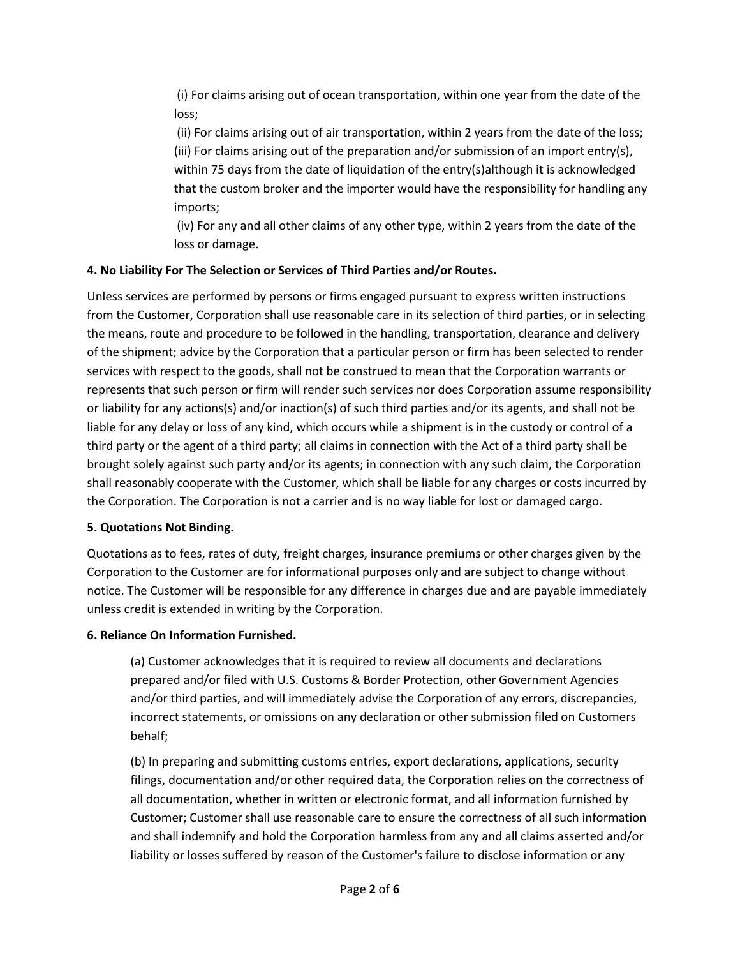(i) For claims arising out of ocean transportation, within one year from the date of the loss;

(ii) For claims arising out of air transportation, within 2 years from the date of the loss; (iii) For claims arising out of the preparation and/or submission of an import entry(s), within 75 days from the date of liquidation of the entry(s)although it is acknowledged that the custom broker and the importer would have the responsibility for handling any imports;

(iv) For any and all other claims of any other type, within 2 years from the date of the loss or damage.

## **4. No Liability For The Selection or Services of Third Parties and/or Routes.**

Unless services are performed by persons or firms engaged pursuant to express written instructions from the Customer, Corporation shall use reasonable care in its selection of third parties, or in selecting the means, route and procedure to be followed in the handling, transportation, clearance and delivery of the shipment; advice by the Corporation that a particular person or firm has been selected to render services with respect to the goods, shall not be construed to mean that the Corporation warrants or represents that such person or firm will render such services nor does Corporation assume responsibility or liability for any actions(s) and/or inaction(s) of such third parties and/or its agents, and shall not be liable for any delay or loss of any kind, which occurs while a shipment is in the custody or control of a third party or the agent of a third party; all claims in connection with the Act of a third party shall be brought solely against such party and/or its agents; in connection with any such claim, the Corporation shall reasonably cooperate with the Customer, which shall be liable for any charges or costs incurred by the Corporation. The Corporation is not a carrier and is no way liable for lost or damaged cargo.

#### **5. Quotations Not Binding.**

Quotations as to fees, rates of duty, freight charges, insurance premiums or other charges given by the Corporation to the Customer are for informational purposes only and are subject to change without notice. The Customer will be responsible for any difference in charges due and are payable immediately unless credit is extended in writing by the Corporation.

## **6. Reliance On Information Furnished.**

(a) Customer acknowledges that it is required to review all documents and declarations prepared and/or filed with U.S. Customs & Border Protection, other Government Agencies and/or third parties, and will immediately advise the Corporation of any errors, discrepancies, incorrect statements, or omissions on any declaration or other submission filed on Customers behalf;

(b) In preparing and submitting customs entries, export declarations, applications, security filings, documentation and/or other required data, the Corporation relies on the correctness of all documentation, whether in written or electronic format, and all information furnished by Customer; Customer shall use reasonable care to ensure the correctness of all such information and shall indemnify and hold the Corporation harmless from any and all claims asserted and/or liability or losses suffered by reason of the Customer's failure to disclose information or any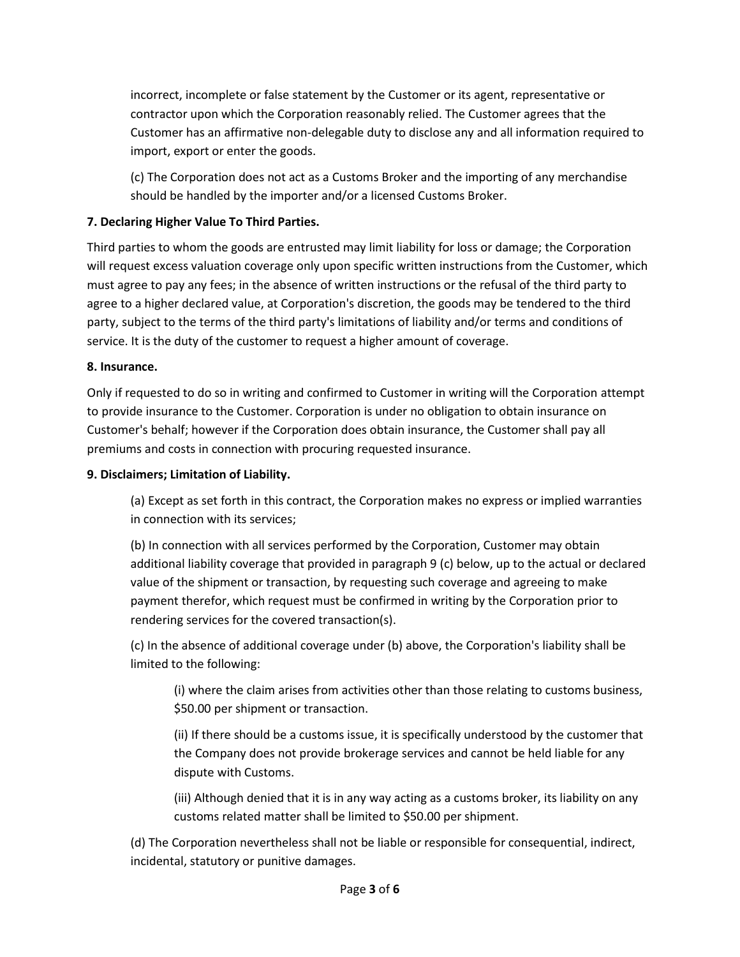incorrect, incomplete or false statement by the Customer or its agent, representative or contractor upon which the Corporation reasonably relied. The Customer agrees that the Customer has an affirmative non-delegable duty to disclose any and all information required to import, export or enter the goods.

(c) The Corporation does not act as a Customs Broker and the importing of any merchandise should be handled by the importer and/or a licensed Customs Broker.

### **7. Declaring Higher Value To Third Parties.**

Third parties to whom the goods are entrusted may limit liability for loss or damage; the Corporation will request excess valuation coverage only upon specific written instructions from the Customer, which must agree to pay any fees; in the absence of written instructions or the refusal of the third party to agree to a higher declared value, at Corporation's discretion, the goods may be tendered to the third party, subject to the terms of the third party's limitations of liability and/or terms and conditions of service. It is the duty of the customer to request a higher amount of coverage.

#### **8. Insurance.**

Only if requested to do so in writing and confirmed to Customer in writing will the Corporation attempt to provide insurance to the Customer. Corporation is under no obligation to obtain insurance on Customer's behalf; however if the Corporation does obtain insurance, the Customer shall pay all premiums and costs in connection with procuring requested insurance.

#### **9. Disclaimers; Limitation of Liability.**

(a) Except as set forth in this contract, the Corporation makes no express or implied warranties in connection with its services;

(b) In connection with all services performed by the Corporation, Customer may obtain additional liability coverage that provided in paragraph 9 (c) below, up to the actual or declared value of the shipment or transaction, by requesting such coverage and agreeing to make payment therefor, which request must be confirmed in writing by the Corporation prior to rendering services for the covered transaction(s).

(c) In the absence of additional coverage under (b) above, the Corporation's liability shall be limited to the following:

(i) where the claim arises from activities other than those relating to customs business, \$50.00 per shipment or transaction.

(ii) If there should be a customs issue, it is specifically understood by the customer that the Company does not provide brokerage services and cannot be held liable for any dispute with Customs.

(iii) Although denied that it is in any way acting as a customs broker, its liability on any customs related matter shall be limited to \$50.00 per shipment.

(d) The Corporation nevertheless shall not be liable or responsible for consequential, indirect, incidental, statutory or punitive damages.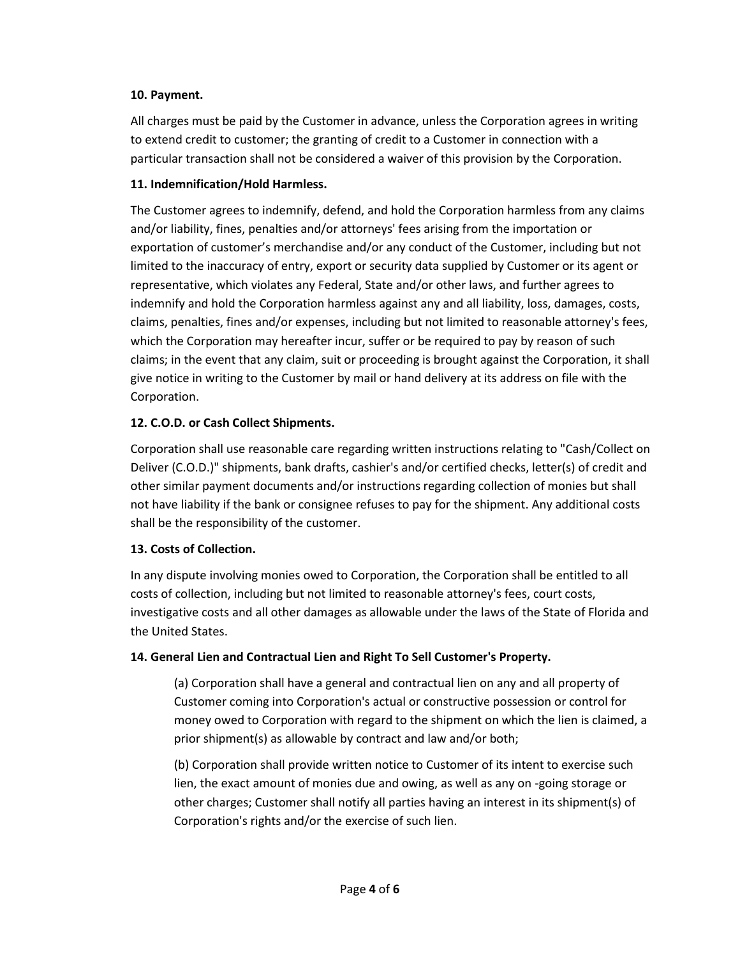#### **10. Payment.**

All charges must be paid by the Customer in advance, unless the Corporation agrees in writing to extend credit to customer; the granting of credit to a Customer in connection with a particular transaction shall not be considered a waiver of this provision by the Corporation.

#### **11. Indemnification/Hold Harmless.**

The Customer agrees to indemnify, defend, and hold the Corporation harmless from any claims and/or liability, fines, penalties and/or attorneys' fees arising from the importation or exportation of customer's merchandise and/or any conduct of the Customer, including but not limited to the inaccuracy of entry, export or security data supplied by Customer or its agent or representative, which violates any Federal, State and/or other laws, and further agrees to indemnify and hold the Corporation harmless against any and all liability, loss, damages, costs, claims, penalties, fines and/or expenses, including but not limited to reasonable attorney's fees, which the Corporation may hereafter incur, suffer or be required to pay by reason of such claims; in the event that any claim, suit or proceeding is brought against the Corporation, it shall give notice in writing to the Customer by mail or hand delivery at its address on file with the Corporation.

#### **12. C.O.D. or Cash Collect Shipments.**

Corporation shall use reasonable care regarding written instructions relating to "Cash/Collect on Deliver (C.O.D.)" shipments, bank drafts, cashier's and/or certified checks, letter(s) of credit and other similar payment documents and/or instructions regarding collection of monies but shall not have liability if the bank or consignee refuses to pay for the shipment. Any additional costs shall be the responsibility of the customer.

#### **13. Costs of Collection.**

In any dispute involving monies owed to Corporation, the Corporation shall be entitled to all costs of collection, including but not limited to reasonable attorney's fees, court costs, investigative costs and all other damages as allowable under the laws of the State of Florida and the United States.

#### **14. General Lien and Contractual Lien and Right To Sell Customer's Property.**

(a) Corporation shall have a general and contractual lien on any and all property of Customer coming into Corporation's actual or constructive possession or control for money owed to Corporation with regard to the shipment on which the lien is claimed, a prior shipment(s) as allowable by contract and law and/or both;

(b) Corporation shall provide written notice to Customer of its intent to exercise such lien, the exact amount of monies due and owing, as well as any on -going storage or other charges; Customer shall notify all parties having an interest in its shipment(s) of Corporation's rights and/or the exercise of such lien.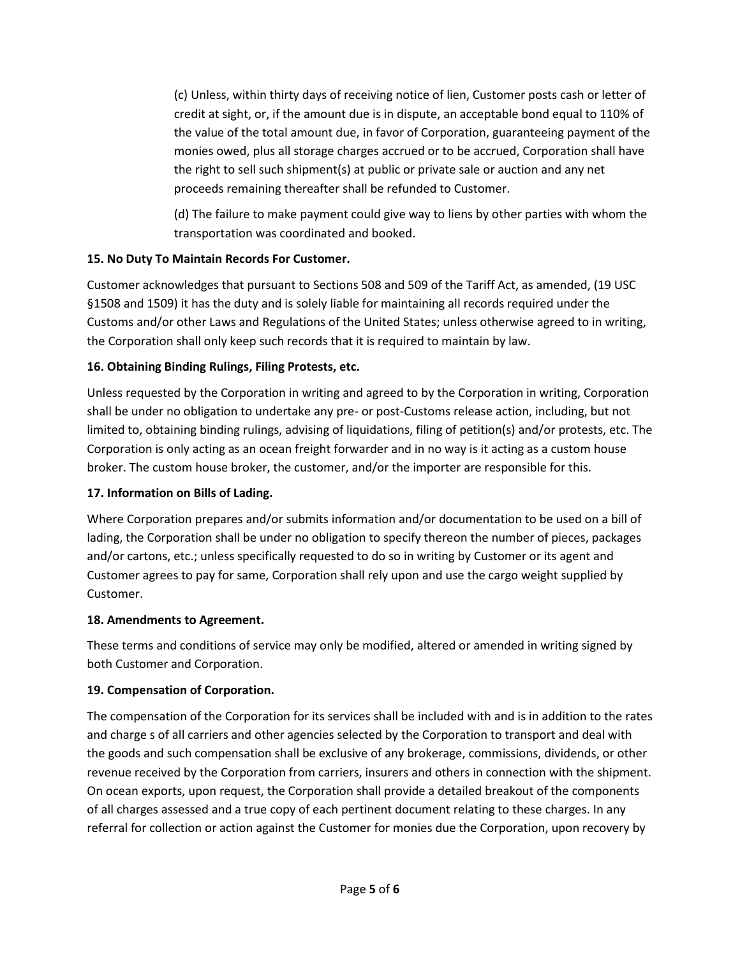(c) Unless, within thirty days of receiving notice of lien, Customer posts cash or letter of credit at sight, or, if the amount due is in dispute, an acceptable bond equal to 110% of the value of the total amount due, in favor of Corporation, guaranteeing payment of the monies owed, plus all storage charges accrued or to be accrued, Corporation shall have the right to sell such shipment(s) at public or private sale or auction and any net proceeds remaining thereafter shall be refunded to Customer.

(d) The failure to make payment could give way to liens by other parties with whom the transportation was coordinated and booked.

## **15. No Duty To Maintain Records For Customer.**

Customer acknowledges that pursuant to Sections 508 and 509 of the Tariff Act, as amended, (19 USC §1508 and 1509) it has the duty and is solely liable for maintaining all records required under the Customs and/or other Laws and Regulations of the United States; unless otherwise agreed to in writing, the Corporation shall only keep such records that it is required to maintain by law.

## **16. Obtaining Binding Rulings, Filing Protests, etc.**

Unless requested by the Corporation in writing and agreed to by the Corporation in writing, Corporation shall be under no obligation to undertake any pre- or post-Customs release action, including, but not limited to, obtaining binding rulings, advising of liquidations, filing of petition(s) and/or protests, etc. The Corporation is only acting as an ocean freight forwarder and in no way is it acting as a custom house broker. The custom house broker, the customer, and/or the importer are responsible for this.

## **17. Information on Bills of Lading.**

Where Corporation prepares and/or submits information and/or documentation to be used on a bill of lading, the Corporation shall be under no obligation to specify thereon the number of pieces, packages and/or cartons, etc.; unless specifically requested to do so in writing by Customer or its agent and Customer agrees to pay for same, Corporation shall rely upon and use the cargo weight supplied by Customer.

## **18. Amendments to Agreement.**

These terms and conditions of service may only be modified, altered or amended in writing signed by both Customer and Corporation.

## **19. Compensation of Corporation.**

The compensation of the Corporation for its services shall be included with and is in addition to the rates and charge s of all carriers and other agencies selected by the Corporation to transport and deal with the goods and such compensation shall be exclusive of any brokerage, commissions, dividends, or other revenue received by the Corporation from carriers, insurers and others in connection with the shipment. On ocean exports, upon request, the Corporation shall provide a detailed breakout of the components of all charges assessed and a true copy of each pertinent document relating to these charges. In any referral for collection or action against the Customer for monies due the Corporation, upon recovery by